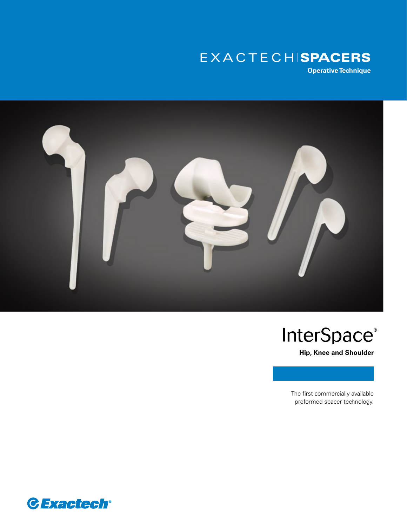# EXACTECHISPACERS

**Operative Technique**



# **InterSpace®**

**Hip, Knee and Shoulder**

The first commercially available preformed spacer technology.

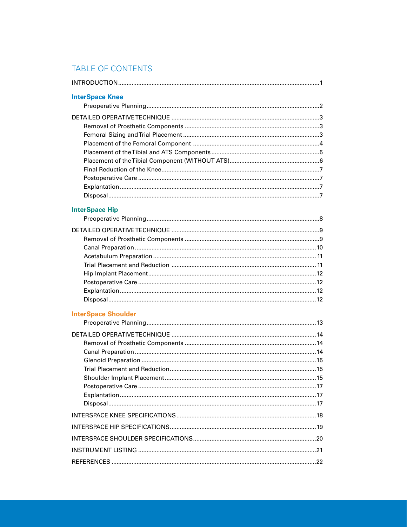# TABLE OF CONTENTS

| <b>InterSpace Knee</b>     |  |
|----------------------------|--|
|                            |  |
|                            |  |
|                            |  |
|                            |  |
|                            |  |
|                            |  |
|                            |  |
|                            |  |
|                            |  |
|                            |  |
|                            |  |
| <b>InterSpace Hip</b>      |  |
|                            |  |
|                            |  |
|                            |  |
|                            |  |
|                            |  |
|                            |  |
|                            |  |
|                            |  |
|                            |  |
|                            |  |
| <b>InterSpace Shoulder</b> |  |
|                            |  |
|                            |  |
|                            |  |
|                            |  |
|                            |  |
|                            |  |
|                            |  |
|                            |  |
|                            |  |
|                            |  |
|                            |  |
|                            |  |
|                            |  |
|                            |  |
|                            |  |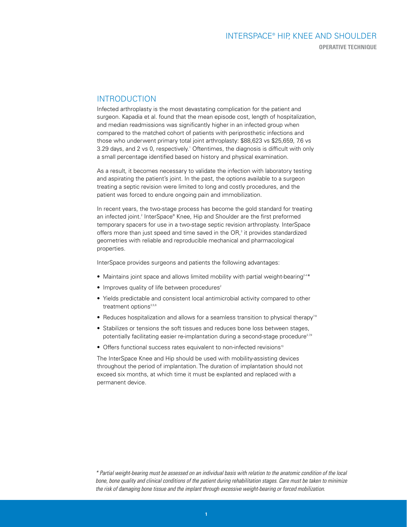# INTERSPACE® HIP, KNEE AND SHOULDER **OPERATIVE TECHNIQUE**

## INTRODUCTION

Infected arthroplasty is the most devastating complication for the patient and surgeon. Kapadia et al. found that the mean episode cost, length of hospitalization, and median readmissions was significantly higher in an infected group when compared to the matched cohort of patients with periprosthetic infections and those who underwent primary total joint arthroplasty: \$88,623 vs \$25,659, 7.6 vs 3.29 days, and 2 vs 0, respectively.<sup>1</sup> Oftentimes, the diagnosis is difficult with only a small percentage identified based on history and physical examination.

As a result, it becomes necessary to validate the infection with laboratory testing and aspirating the patient's joint. In the past, the options available to a surgeon treating a septic revision were limited to long and costly procedures, and the patient was forced to endure ongoing pain and immobilization.

In recent years, the two-stage process has become the gold standard for treating an infected joint.<sup>2</sup> InterSpace® Knee, Hip and Shoulder are the first preformed temporary spacers for use in a two-stage septic revision arthroplasty. InterSpace offers more than just speed and time saved in the OR,<sup>3</sup> it provides standardized geometries with reliable and reproducible mechanical and pharmacological properties.

InterSpace provides surgeons and patients the following advantages:

- Maintains joint space and allows limited mobility with partial weight-bearing<sup>24\*</sup>
- $\bullet$  Improves quality of life between procedures<sup>2</sup>
- Yields predictable and consistent local antimicrobial activity compared to other treatment options<sup>3,5,6</sup>
- Reduces hospitalization and allows for a seamless transition to physical therapy<sup>79</sup>
- Stabilizes or tensions the soft tissues and reduces bone loss between stages, potentially facilitating easier re-implantation during a second-stage procedure<sup>2,79</sup>
- Offers functional success rates equivalent to non-infected revisions<sup>10</sup>

The InterSpace Knee and Hip should be used with mobility-assisting devices throughout the period of implantation. The duration of implantation should not exceed six months, at which time it must be explanted and replaced with a permanent device.

*\* Partial weight-bearing must be assessed on an individual basis with relation to the anatomic condition of the local bone, bone quality and clinical conditions of the patient during rehabilitation stages. Care must be taken to minimize the risk of damaging bone tissue and the implant through excessive weight-bearing or forced mobilization.*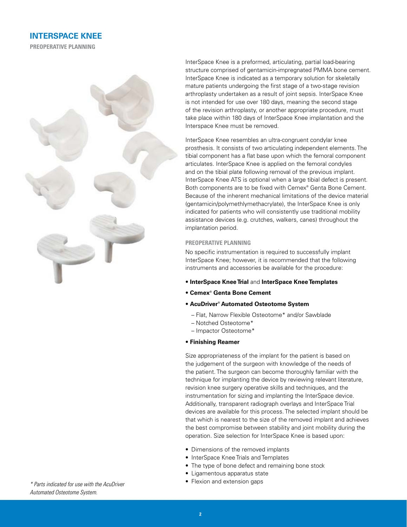# **INTERSPACE KNEE**

**PREOPERATIVE PLANNING**



InterSpace Knee is a preformed, articulating, partial load-bearing structure comprised of gentamicin-impregnated PMMA bone cement. InterSpace Knee is indicated as a temporary solution for skeletally mature patients undergoing the first stage of a two-stage revision arthroplasty undertaken as a result of joint sepsis. InterSpace Knee is not intended for use over 180 days, meaning the second stage of the revision arthroplasty, or another appropriate procedure, must take place within 180 days of InterSpace Knee implantation and the Interspace Knee must be removed.

InterSpace Knee resembles an ultra-congruent condylar knee prosthesis. It consists of two articulating independent elements. The tibial component has a flat base upon which the femoral component articulates. InterSpace Knee is applied on the femoral condyles and on the tibial plate following removal of the previous implant. InterSpace Knee ATS is optional when a large tibial defect is present. Both components are to be fixed with Cemex® Genta Bone Cement. Because of the inherent mechanical limitations of the device material (gentamicin/polymethlymethacrylate), the InterSpace Knee is only indicated for patients who will consistently use traditional mobility assistance devices (e.g. crutches, walkers, canes) throughout the implantation period.

#### **PREOPERATIVE PLANNING**

No specific instrumentation is required to successfully implant InterSpace Knee; however, it is recommended that the following instruments and accessories be available for the procedure:

- **InterSpace Knee Trial** and **InterSpace Knee Templates**
- **Cemex® Genta Bone Cement**
- **AcuDriver® Automated Osteotome System**
	- Flat, Narrow Flexible Osteotome\* and/or Sawblade
	- Notched Osteotome\*
- Impactor Osteotome\*
- **Finishing Reamer**

Size appropriateness of the implant for the patient is based on the judgement of the surgeon with knowledge of the needs of the patient. The surgeon can become thoroughly familiar with the technique for implanting the device by reviewing relevant literature, revision knee surgery operative skills and techniques, and the instrumentation for sizing and implanting the InterSpace device. Additionally, transparent radiograph overlays and InterSpace Trial devices are available for this process. The selected implant should be that which is nearest to the size of the removed implant and achieves the best compromise between stability and joint mobility during the operation. Size selection for InterSpace Knee is based upon:

- Dimensions of the removed implants
- InterSpace Knee Trials and Templates
- The type of bone defect and remaining bone stock
- Ligamentous apparatus state
- Flexion and extension gaps *\* Parts indicated for use with the AcuDriver*

*Automated Osteotome System.*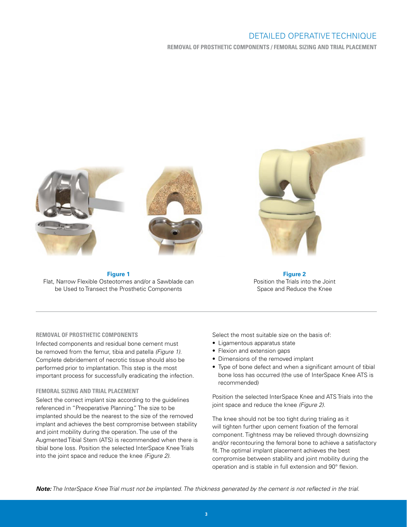**REMOVAL OF PROSTHETIC COMPONENTS / FEMORAL SIZING AND TRIAL PLACEMENT**





**Figure 1** Flat, Narrow Flexible Osteotomes and/or a Sawblade can be Used to Transect the Prosthetic Components



**Figure 2** Position the Trials into the Joint Space and Reduce the Knee

#### **REMOVAL OF PROSTHETIC COMPONENTS**

Infected components and residual bone cement must be removed from the femur, tibia and patella *(Figure 1)*. Complete debridement of necrotic tissue should also be performed prior to implantation. This step is the most important process for successfully eradicating the infection.

#### **FEMORAL SIZING AND TRIAL PLACEMENT**

Select the correct implant size according to the guidelines referenced in "Preoperative Planning." The size to be implanted should be the nearest to the size of the removed implant and achieves the best compromise between stability and joint mobility during the operation. The use of the Augmented Tibial Stem (ATS) is recommended when there is tibial bone loss. Position the selected InterSpace Knee Trials into the joint space and reduce the knee *(Figure 2)*.

Select the most suitable size on the basis of:

- Ligamentous apparatus state
- Flexion and extension gaps
- Dimensions of the removed implant
- Type of bone defect and when a significant amount of tibial bone loss has occurred (the use of InterSpace Knee ATS is recommended)

Position the selected InterSpace Knee and ATS Trials into the joint space and reduce the knee *(Figure 2)*.

The knee should not be too tight during trialing as it will tighten further upon cement fixation of the femoral component. Tightness may be relieved through downsizing and/or recontouring the femoral bone to achieve a satisfactory fit. The optimal implant placement achieves the best compromise between stability and joint mobility during the operation and is stable in full extension and 90° flexion.

*Note: The InterSpace Knee Trial must not be implanted. The thickness generated by the cement is not reflected in the trial.*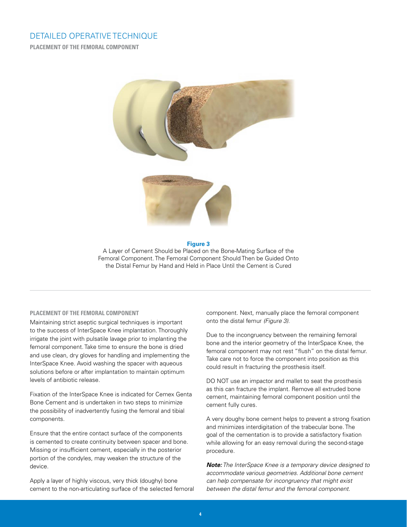**PLACEMENT OF THE FEMORAL COMPONENT**



#### **Figure 3**

A Layer of Cement Should be Placed on the Bone-Mating Surface of the Femoral Component. The Femoral Component Should Then be Guided Onto the Distal Femur by Hand and Held in Place Until the Cement is Cured

#### **PLACEMENT OF THE FEMORAL COMPONENT**

Maintaining strict aseptic surgical techniques is important to the success of InterSpace Knee implantation. Thoroughly irrigate the joint with pulsatile lavage prior to implanting the femoral component. Take time to ensure the bone is dried and use clean, dry gloves for handling and implementing the InterSpace Knee. Avoid washing the spacer with aqueous solutions before or after implantation to maintain optimum levels of antibiotic release.

Fixation of the InterSpace Knee is indicated for Cemex Genta Bone Cement and is undertaken in two steps to minimize the possibility of inadvertently fusing the femoral and tibial components.

Ensure that the entire contact surface of the components is cemented to create continuity between spacer and bone. Missing or insufficient cement, especially in the posterior portion of the condyles, may weaken the structure of the device.

Apply a layer of highly viscous, very thick (doughy) bone cement to the non-articulating surface of the selected femoral component. Next, manually place the femoral component onto the distal femur *(Figure 3)*.

Due to the incongruency between the remaining femoral bone and the interior geometry of the InterSpace Knee, the femoral component may not rest "flush" on the distal femur. Take care not to force the component into position as this could result in fracturing the prosthesis itself.

DO NOT use an impactor and mallet to seat the prosthesis as this can fracture the implant. Remove all extruded bone cement, maintaining femoral component position until the cement fully cures.

A very doughy bone cement helps to prevent a strong fixation and minimizes interdigitation of the trabecular bone. The goal of the cementation is to provide a satisfactory fixation while allowing for an easy removal during the second-stage procedure.

*Note: The InterSpace Knee is a temporary device designed to accommodate various geometries. Additional bone cement can help compensate for incongruency that might exist between the distal femur and the femoral component.*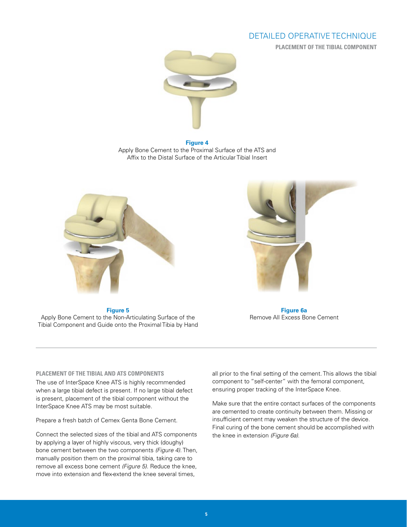**PLACEMENT OF THE TIBIAL COMPONENT**



**Figure 4** Apply Bone Cement to the Proximal Surface of the ATS and Affix to the Distal Surface of the Articular Tibial Insert



**Figure 5**

Apply Bone Cement to the Non-Articulating Surface of the Tibial Component and Guide onto the Proximal Tibia by Hand



**Figure 6a** Remove All Excess Bone Cement

#### **PLACEMENT OF THE TIBIAL AND ATS COMPONENTS**

The use of InterSpace Knee ATS is highly recommended when a large tibial defect is present. If no large tibial defect is present, placement of the tibial component without the InterSpace Knee ATS may be most suitable.

Prepare a fresh batch of Cemex Genta Bone Cement.

Connect the selected sizes of the tibial and ATS components by applying a layer of highly viscous, very thick (doughy) bone cement between the two components *(Figure 4)*. Then, manually position them on the proximal tibia, taking care to remove all excess bone cement *(Figure 5)*. Reduce the knee, move into extension and flex-extend the knee several times,

all prior to the final setting of the cement. This allows the tibial component to "self-center" with the femoral component, ensuring proper tracking of the InterSpace Knee.

Make sure that the entire contact surfaces of the components are cemented to create continuity between them. Missing or insufficient cement may weaken the structure of the device. Final curing of the bone cement should be accomplished with the knee in extension *(Figure 6a)*.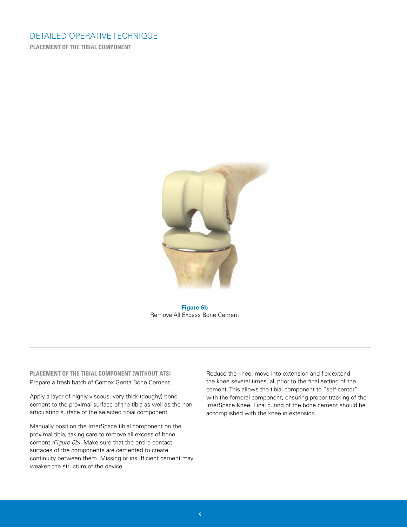**PLACEMENT OF THE TIBIAL COMPONENT**



**Figure 6b** Remove All Excess Bone Cement

#### **PLACEMENT OF THE TIBIAL COMPONENT (WITHOUT ATS)** Prepare a fresh batch of Cemex Genta Bone Cement.

Apply a layer of highly viscous, very thick (doughy) bone cement to the proximal surface of the tibia as well as the nonarticulating surface of the selected tibial component.

Manually position the InterSpace tibial component on the proximal tibia, taking care to remove all excess of bone cement *(Figure 6b)*. Make sure that the entire contact surfaces of the components are cemented to create continuity between them. Missing or insufficient cement may weaken the structure of the device.

Reduce the knee, move into extension and flex-extend the knee several times, all prior to the final setting of the cement. This allows the tibial component to "self-center" with the femoral component, ensuring proper tracking of the InterSpace Knee. Final curing of the bone cement should be accomplished with the knee in extension.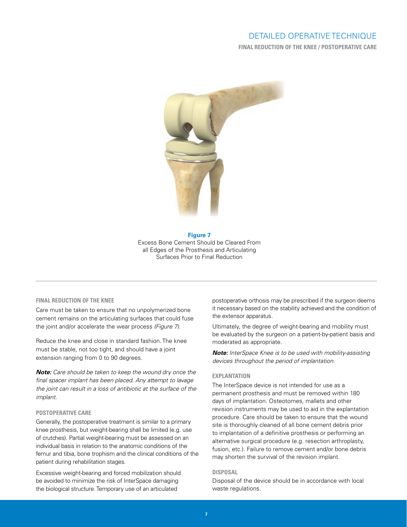**FINAL REDUCTION OF THE KNEE / POSTOPERATIVE CARE**



#### **Figure 7** Excess Bone Cement Should be Cleared From all Edges of the Prosthesis and Articulating Surfaces Prior to Final Reduction

#### **FINAL REDUCTION OF THE KNEE**

Care must be taken to ensure that no unpolymerized bone cement remains on the articulating surfaces that could fuse the joint and/or accelerate the wear process *(Figure 7)*.

Reduce the knee and close in standard fashion. The knee must be stable, not too tight, and should have a joint extension ranging from 0 to 90 degrees.

*Note: Care should be taken to keep the wound dry once the final spacer implant has been placed. Any attempt to lavage the joint can result in a loss of antibiotic at the surface of the implant.* 

#### **POSTOPERATIVE CARE**

Generally, the postoperative treatment is similar to a primary knee prosthesis, but weight-bearing shall be limited (e.g. use of crutches). Partial weight-bearing must be assessed on an individual basis in relation to the anatomic conditions of the femur and tibia, bone trophism and the clinical conditions of the patient during rehabilitation stages.

Excessive weight-bearing and forced mobilization should be avoided to minimize the risk of InterSpace damaging the biological structure. Temporary use of an articulated

postoperative orthosis may be prescribed if the surgeon deems it necessary based on the stability achieved and the condition of the extensor apparatus.

Ultimately, the degree of weight-bearing and mobility must be evaluated by the surgeon on a patient-by-patient basis and moderated as appropriate.

*Note: InterSpace Knee is to be used with mobility-assisting devices throughout the period of implantation.*

#### **EXPLANTATION**

The InterSpace device is not intended for use as a permanent prosthesis and must be removed within 180 days of implantation. Osteotomes, mallets and other revision instruments may be used to aid in the explantation procedure. Care should be taken to ensure that the wound site is thoroughly cleaned of all bone cement debris prior to implantation of a definitive prosthesis or performing an alternative surgical procedure (e.g. resection arthroplasty, fusion, etc.). Failure to remove cement and/or bone debris may shorten the survival of the revision implant.

#### **DISPOSAL**

Disposal of the device should be in accordance with local waste regulations.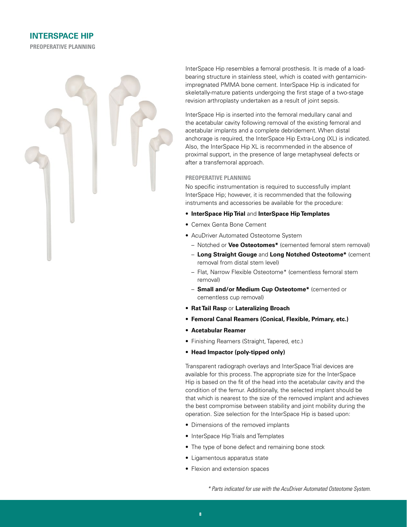

InterSpace Hip resembles a femoral prosthesis. It is made of a loadbearing structure in stainless steel, which is coated with gentamicinimpregnated PMMA bone cement. InterSpace Hip is indicated for skeletally-mature patients undergoing the first stage of a two-stage revision arthroplasty undertaken as a result of joint sepsis.

InterSpace Hip is inserted into the femoral medullary canal and the acetabular cavity following removal of the existing femoral and acetabular implants and a complete debridement. When distal anchorage is required, the InterSpace Hip Extra-Long (XL) is indicated. Also, the InterSpace Hip XL is recommended in the absence of proximal support, in the presence of large metaphyseal defects or after a transfemoral approach.

#### **PREOPERATIVE PLANNING**

No specific instrumentation is required to successfully implant InterSpace Hip; however, it is recommended that the following instruments and accessories be available for the procedure:

- **InterSpace Hip Trial** and **InterSpace Hip Templates**
- Cemex Genta Bone Cement
- AcuDriver Automated Osteotome System
	- Notched or **Vee Osteotomes\*** (cemented femoral stem removal)
	- **Long Straight Gouge** and **Long Notched Osteotome\*** (cement removal from distal stem level)
	- Flat, Narrow Flexible Osteotome\* (cementless femoral stem removal)
	- **Small and/or Medium Cup Osteotome\*** (cemented or cementless cup removal)
- **Rat Tail Rasp** or **Lateralizing Broach**
- **Femoral Canal Reamers (Conical, Flexible, Primary, etc.)**
- **Acetabular Reamer**
- Finishing Reamers (Straight, Tapered, etc.)
- **Head Impactor (poly-tipped only)**

Transparent radiograph overlays and InterSpace Trial devices are available for this process. The appropriate size for the InterSpace Hip is based on the fit of the head into the acetabular cavity and the condition of the femur. Additionally, the selected implant should be that which is nearest to the size of the removed implant and achieves the best compromise between stability and joint mobility during the operation. Size selection for the InterSpace Hip is based upon:

- Dimensions of the removed implants
- InterSpace Hip Trials and Templates
- The type of bone defect and remaining bone stock
- Ligamentous apparatus state
- Flexion and extension spaces

*<sup>\*</sup> Parts indicated for use with the AcuDriver Automated Osteotome System.*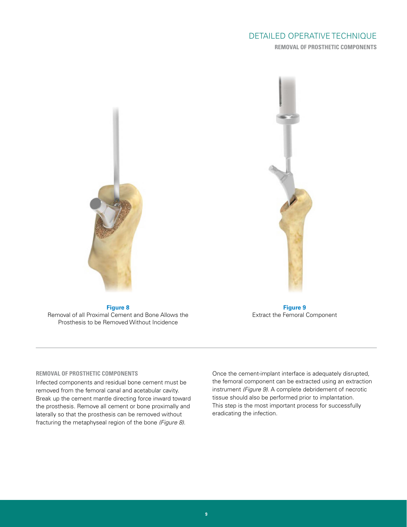# DETAILED OPERATIVE TECHNIQUE **REMOVAL OF PROSTHETIC COMPONENTS**



**Figure 8** Removal of all Proximal Cement and Bone Allows the Prosthesis to be Removed Without Incidence



**Figure 9** Extract the Femoral Component

#### **REMOVAL OF PROSTHETIC COMPONENTS**

Infected components and residual bone cement must be removed from the femoral canal and acetabular cavity. Break up the cement mantle directing force inward toward the prosthesis. Remove all cement or bone proximally and laterally so that the prosthesis can be removed without fracturing the metaphyseal region of the bone *(Figure 8)*.

Once the cement-implant interface is adequately disrupted, the femoral component can be extracted using an extraction instrument *(Figure 9)*. A complete debridement of necrotic tissue should also be performed prior to implantation. This step is the most important process for successfully eradicating the infection.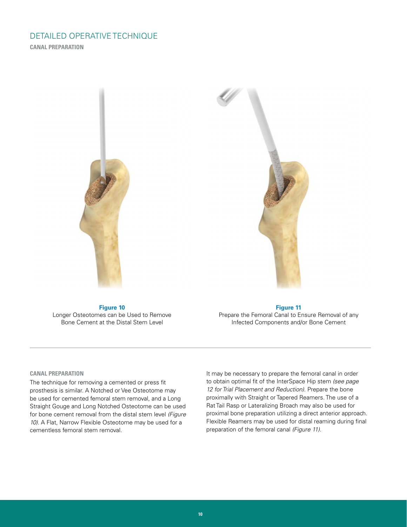**CANAL PREPARATION**



**Figure 10** Longer Osteotomes can be Used to Remove Bone Cement at the Distal Stem Level

**Figure 11** Prepare the Femoral Canal to Ensure Removal of any Infected Components and/or Bone Cement

#### **CANAL PREPARATION**

The technique for removing a cemented or press fit prosthesis is similar. A Notched or Vee Osteotome may be used for cemented femoral stem removal, and a Long Straight Gouge and Long Notched Osteotome can be used for bone cement removal from the distal stem level *(Figure 10)*. A Flat, Narrow Flexible Osteotome may be used for a cementless femoral stem removal.

It may be necessary to prepare the femoral canal in order to obtain optimal fit of the InterSpace Hip stem *(see page 12 for Trial Placement and Reduction)*. Prepare the bone proximally with Straight or Tapered Reamers. The use of a Rat Tail Rasp or Lateralizing Broach may also be used for proximal bone preparation utilizing a direct anterior approach. Flexible Reamers may be used for distal reaming during final preparation of the femoral canal *(Figure 11)*.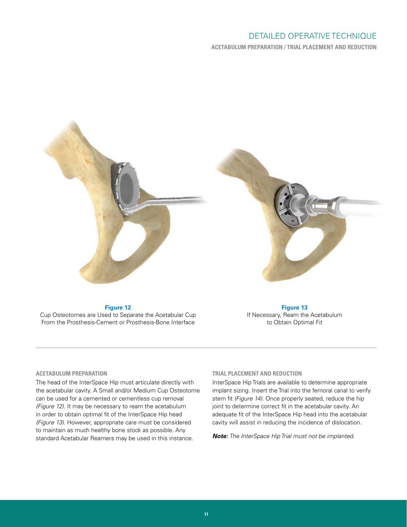**ACETABULUM PREPARATION / TRIAL PLACEMENT AND REDUCTION**



**Figure 12**

Cup Osteotomes are Used to Separate the Acetabular Cup From the Prosthesis-Cement or Prosthesis-Bone Interface

**Figure 13** If Necessary, Ream the Acetabulum to Obtain Optimal Fit

#### **ACETABULUM PREPARATION**

The head of the InterSpace Hip must articulate directly with the acetabular cavity. A Small and/or Medium Cup Osteotome can be used for a cemented or cementless cup removal *(Figure 12)*. It may be necessary to ream the acetabulum in order to obtain optimal fit of the InterSpace Hip head *(Figure 13)*. However, appropriate care must be considered to maintain as much healthy bone stock as possible. Any standard Acetabular Reamers may be used in this instance.

#### **TRIAL PLACEMENT AND REDUCTION**

InterSpace Hip Trials are available to determine appropriate implant sizing. Insert the Trial into the femoral canal to verify stem fit *(Figure 14)*. Once properly seated, reduce the hip joint to determine correct fit in the acetabular cavity. An adequate fit of the InterSpace Hip head into the acetabular cavity will assist in reducing the incidence of dislocation.

*Note: The InterSpace Hip Trial must not be implanted.*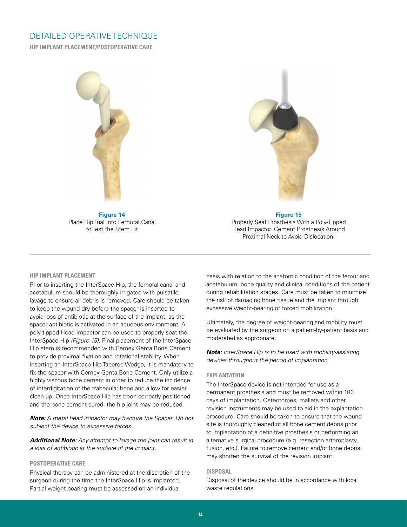**HIP IMPLANT PLACEMENT/POSTOPERATIVE CARE**



**Figure 14** Place Hip Trial Into Femoral Canal to Test the Stem Fit



#### **Figure 15**

Properly Seat Prosthesis With a Poly-Tipped Head Impactor. Cement Prosthesis Around Proximal Neck to Avoid Dislocation.

#### **HIP IMPLANT PLACEMENT**

Prior to inserting the InterSpace Hip, the femoral canal and acetabulum should be thoroughly irrigated with pulsatile lavage to ensure all debris is removed. Care should be taken to keep the wound dry before the spacer is inserted to avoid loss of antibiotic at the surface of the implant, as the spacer antibiotic is activated in an aqueous environment. A poly-tipped Head Impactor can be used to properly seat the InterSpace Hip *(Figure 15)*. Final placement of the InterSpace Hip stem is recommended with Cemex Genta Bone Cement to provide proximal fixation and rotational stability. When inserting an InterSpace Hip Tapered Wedge, it is mandatory to fix the spacer with Cemex Genta Bone Cement. Only utilize a highly viscous bone cement in order to reduce the incidence of interdigitation of the trabecular bone and allow for easier clean up. Once InterSpace Hip has been correctly positioned and the bone cement cured, the hip joint may be reduced.

*Note: A metal head impactor may fracture the Spacer. Do not subject the device to excessive forces.*

*Additional Note: Any attempt to lavage the joint can result in a loss of antibiotic at the surface of the implant.* 

#### **POSTOPERATIVE CARE**

Physical therapy can be administered at the discretion of the surgeon during the time the InterSpace Hip is implanted. Partial weight-bearing must be assessed on an individual

basis with relation to the anatomic condition of the femur and acetabulum, bone quality and clinical conditions of the patient during rehabilitation stages. Care must be taken to minimize the risk of damaging bone tissue and the implant through excessive weight-bearing or forced mobilization.

Ultimately, the degree of weight-bearing and mobility must be evaluated by the surgeon on a patient-by-patient basis and moderated as appropriate.

*Note: InterSpace Hip is to be used with mobility-assisting devices throughout the period of implantation.*

#### **EXPLANTATION**

The InterSpace device is not intended for use as a permanent prosthesis and must be removed within 180 days of implantation. Osteotomes, mallets and other revision instruments may be used to aid in the explantation procedure. Care should be taken to ensure that the wound site is thoroughly cleaned of all bone cement debris prior to implantation of a definitive prosthesis or performing an alternative surgical procedure (e.g. resection arthroplasty, fusion, etc.). Failure to remove cement and/or bone debris may shorten the survival of the revision implant.

#### **DISPOSAL**

Disposal of the device should be in accordance with local waste regulations.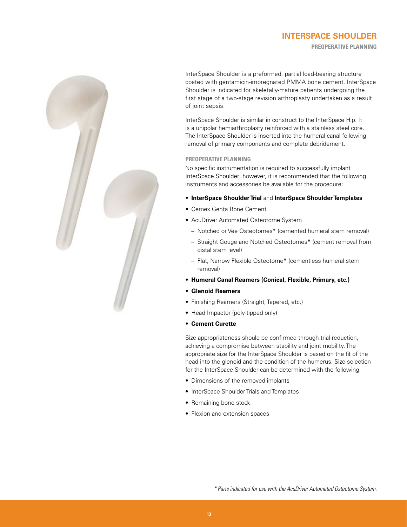## **INTERSPACE SHOULDER PREOPERATIVE PLANNING**



InterSpace Shoulder is a preformed, partial load-bearing structure coated with gentamicin-impregnated PMMA bone cement. InterSpace Shoulder is indicated for skeletally-mature patients undergoing the first stage of a two-stage revision arthroplasty undertaken as a result of joint sepsis.

InterSpace Shoulder is similar in construct to the InterSpace Hip. It is a unipolar hemiarthroplasty reinforced with a stainless steel core. The InterSpace Shoulder is inserted into the humeral canal following removal of primary components and complete debridement.

#### **PREOPERATIVE PLANNING**

No specific instrumentation is required to successfully implant InterSpace Shoulder; however, it is recommended that the following instruments and accessories be available for the procedure:

- **InterSpace Shoulder Trial** and **InterSpace Shoulder Templates**
- Cemex Genta Bone Cement
- AcuDriver Automated Osteotome System
	- Notched or Vee Osteotomes\* (cemented humeral stem removal)
	- Straight Gouge and Notched Osteotomes\* (cement removal from distal stem level)
	- Flat, Narrow Flexible Osteotome\* (cementless humeral stem removal)
- **Humeral Canal Reamers (Conical, Flexible, Primary, etc.)**
- **Glenoid Reamers**
- Finishing Reamers (Straight, Tapered, etc.)
- Head Impactor (poly-tipped only)
- **Cement Curette**

Size appropriateness should be confirmed through trial reduction, achieving a compromise between stability and joint mobility. The appropriate size for the InterSpace Shoulder is based on the fit of the head into the glenoid and the condition of the humerus. Size selection for the InterSpace Shoulder can be determined with the following:

- Dimensions of the removed implants
- InterSpace Shoulder Trials and Templates
- Remaining bone stock
- Flexion and extension spaces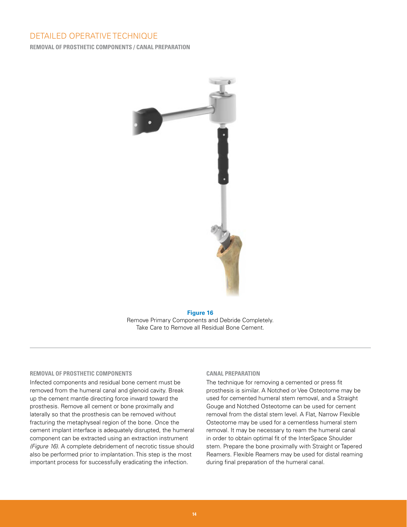**REMOVAL OF PROSTHETIC COMPONENTS / CANAL PREPARATION**



#### **Figure 16** Remove Primary Components and Debride Completely. Take Care to Remove all Residual Bone Cement.

#### **REMOVAL OF PROSTHETIC COMPONENTS**

Infected components and residual bone cement must be removed from the humeral canal and glenoid cavity. Break up the cement mantle directing force inward toward the prosthesis. Remove all cement or bone proximally and laterally so that the prosthesis can be removed without fracturing the metaphyseal region of the bone. Once the cement implant interface is adequately disrupted, the humeral component can be extracted using an extraction instrument *(Figure 16)*. A complete debridement of necrotic tissue should also be performed prior to implantation. This step is the most important process for successfully eradicating the infection.

#### **CANAL PREPARATION**

The technique for removing a cemented or press fit prosthesis is similar. A Notched or Vee Osteotome may be used for cemented humeral stem removal, and a Straight Gouge and Notched Osteotome can be used for cement removal from the distal stem level. A Flat, Narrow Flexible Osteotome may be used for a cementless humeral stem removal. It may be necessary to ream the humeral canal in order to obtain optimal fit of the InterSpace Shoulder stem. Prepare the bone proximally with Straight or Tapered Reamers. Flexible Reamers may be used for distal reaming during final preparation of the humeral canal.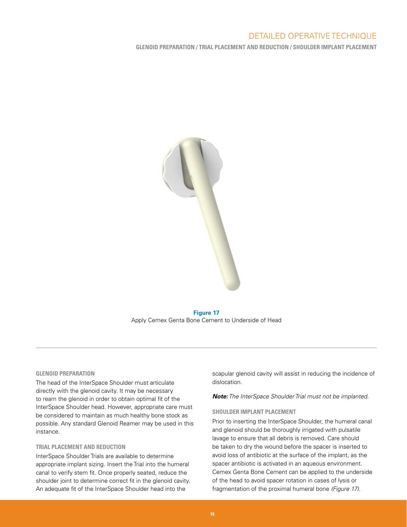**GLENOID PREPARATION / TRIAL PLACEMENT AND REDUCTION / SHOULDER IMPLANT PLACEMENT**



**Figure 17** Apply Cemex Genta Bone Cement to Underside of Head

#### **GLENOID PREPARATION**

The head of the InterSpace Shoulder must articulate directly with the glenoid cavity. It may be necessary to ream the glenoid in order to obtain optimal fit of the InterSpace Shoulder head. However, appropriate care must be considered to maintain as much healthy bone stock as possible. Any standard Glenoid Reamer may be used in this instance.

#### **TRIAL PLACEMENT AND REDUCTION**

InterSpace Shoulder Trials are available to determine appropriate implant sizing. Insert the Trial into the humeral canal to verify stem fit. Once properly seated, reduce the shoulder joint to determine correct fit in the glenoid cavity. An adequate fit of the InterSpace Shoulder head into the

scapular glenoid cavity will assist in reducing the incidence of dislocation.

*Note: The InterSpace Shoulder Trial must not be implanted.*

#### **SHOULDER IMPLANT PLACEMENT**

Prior to inserting the InterSpace Shoulder, the humeral canal and glenoid should be thoroughly irrigated with pulsatile lavage to ensure that all debris is removed. Care should be taken to dry the wound before the spacer is inserted to avoid loss of antibiotic at the surface of the implant, as the spacer antibiotic is activated in an aqueous environment. Cemex Genta Bone Cement can be applied to the underside of the head to avoid spacer rotation in cases of lysis or fragmentation of the proximal humeral bone *(Figure 17)*.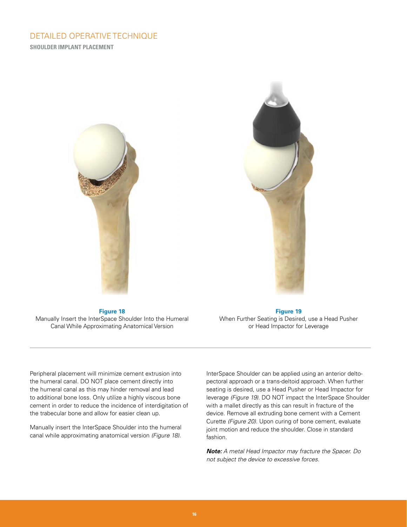# DETAILED OPERATIVE TECHNIQUE **SHOULDER IMPLANT PLACEMENT**



**Figure 18** Manually Insert the InterSpace Shoulder Into the Humeral Canal While Approximating Anatomical Version

**Figure 19** When Further Seating is Desired, use a Head Pusher or Head Impactor for Leverage

Peripheral placement will minimize cement extrusion into the humeral canal. DO NOT place cement directly into the humeral canal as this may hinder removal and lead to additional bone loss. Only utilize a highly viscous bone cement in order to reduce the incidence of interdigitation of the trabecular bone and allow for easier clean up.

Manually insert the InterSpace Shoulder into the humeral canal while approximating anatomical version *(Figure 18)*.

InterSpace Shoulder can be applied using an anterior deltopectoral approach or a trans-deltoid approach. When further seating is desired, use a Head Pusher or Head Impactor for leverage *(Figure 19)*. DO NOT impact the InterSpace Shoulder with a mallet directly as this can result in fracture of the device. Remove all extruding bone cement with a Cement Curette *(Figure 20)*. Upon curing of bone cement, evaluate joint motion and reduce the shoulder. Close in standard fashion.

*Note: A metal Head Impactor may fracture the Spacer. Do not subject the device to excessive forces.*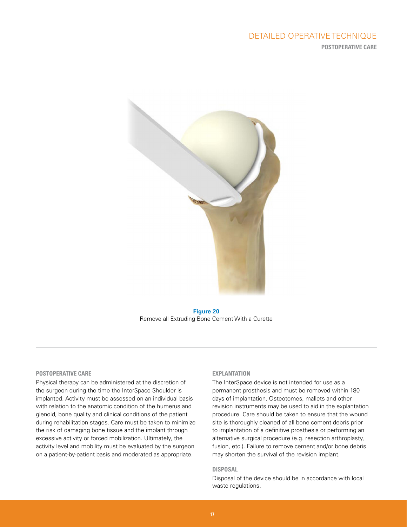# DETAILED OPERATIVE TECHNIQUE **POSTOPERATIVE CARE**



**Figure 20** Remove all Extruding Bone Cement With a Curette

#### **POSTOPERATIVE CARE**

Physical therapy can be administered at the discretion of the surgeon during the time the InterSpace Shoulder is implanted. Activity must be assessed on an individual basis with relation to the anatomic condition of the humerus and glenoid, bone quality and clinical conditions of the patient during rehabilitation stages. Care must be taken to minimize the risk of damaging bone tissue and the implant through excessive activity or forced mobilization. Ultimately, the activity level and mobility must be evaluated by the surgeon on a patient-by-patient basis and moderated as appropriate.

#### **EXPLANTATION**

The InterSpace device is not intended for use as a permanent prosthesis and must be removed within 180 days of implantation. Osteotomes, mallets and other revision instruments may be used to aid in the explantation procedure. Care should be taken to ensure that the wound site is thoroughly cleaned of all bone cement debris prior to implantation of a definitive prosthesis or performing an alternative surgical procedure (e.g. resection arthroplasty, fusion, etc.). Failure to remove cement and/or bone debris may shorten the survival of the revision implant.

#### **DISPOSAL**

Disposal of the device should be in accordance with local waste regulations.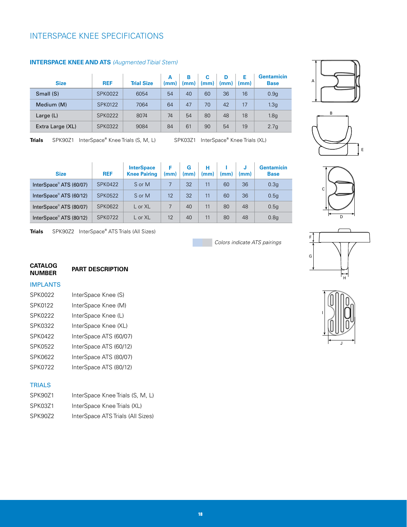# INTERSPACE KNEE SPECIFICATIONS

| <b>Size</b>      | <b>REF</b>     | <b>Trial Size</b> | A<br>(mm) | в<br>(mm) | C<br>(mm) | D<br>(mm) | Е<br>(mm) | <b>Gentamicin</b><br><b>Base</b> |
|------------------|----------------|-------------------|-----------|-----------|-----------|-----------|-----------|----------------------------------|
| Small (S)        | <b>SPK0022</b> | 6054              | 54        | 40        | 60        | 36        | 16        | 0.9 <sub>g</sub>                 |
| Medium (M)       | <b>SPK0122</b> | 7064              | 64        | 47        | 70        | 42        | 17        | 1.3 <sub>g</sub>                 |
| Large $(L)$      | SPK0222        | 8074              | 74        | 54        | 80        | 48        | 18        | 1.8 <sub>g</sub>                 |
| Extra Large (XL) | SPK0322        | 9084              | 84        | 61        | 90        | 54        | 19        | 2.7g                             |

#### **INTERSPACE KNEE AND ATS** *(Augmented Tibial Stem)*

**Trials** SPK90Z1 InterSpace® Knee Trials (S, M, L)

Knee Trials (S, M, L) SPK03Z1 InterSpace**®** Knee Trials (XL)

| <b>Size</b>                         | <b>REF</b>     | <b>InterSpace</b><br><b>Knee Pairing</b> | Е<br>(mm) | G<br>(mm) | н<br>(mm) | (mm) | IJ<br>(mm) | <b>Gentamicin</b><br><b>Base</b> |
|-------------------------------------|----------------|------------------------------------------|-----------|-----------|-----------|------|------------|----------------------------------|
| InterSpace <sup>®</sup> ATS (60/07) | <b>SPK0422</b> | S or M                                   |           | 32        | 11        | 60   | 36         | 0.3 <sub>g</sub>                 |
| InterSpace <sup>®</sup> ATS (60/12) | <b>SPK0522</b> | S or M                                   | 12        | 32        | 11        | 60   | 36         | 0.5g                             |
| InterSpace <sup>®</sup> ATS (80/07) | <b>SPK0622</b> | L or XL                                  |           | 40        | 11        | 80   | 48         | 0.5g                             |
| InterSpace <sup>®</sup> ATS (80/12) | <b>SPK0722</b> | L or XL                                  | 12        | 40        | 11        | 80   | 48         | 0.8q                             |

**Trials**SPK90Z2 InterSpace**®** ATS Trials (All Sizes)

*Colors indicate ATS pairings*







G F H



# **CATALOG**

#### **PART DESCRIPTION**

#### IMPLANTS

| SPK0022 | InterSpace Knee (S)    |
|---------|------------------------|
| SPK0122 | InterSpace Knee (M)    |
| SPK0222 | InterSpace Knee (L)    |
| SPK0322 | InterSpace Knee (XL)   |
| SPK0422 | InterSpace ATS (60/07) |
| SPK0522 | InterSpace ATS (60/12) |
| SPK0622 | InterSpace ATS (80/07) |
| SPK0722 | InterSpace ATS (80/12) |

### **TRIALS**

| SPK90Z1 | InterSpace Knee Trials (S, M, L)  |
|---------|-----------------------------------|
| SPK03Z1 | InterSpace Knee Trials (XL)       |
| SPK90Z2 | InterSpace ATS Trials (All Sizes) |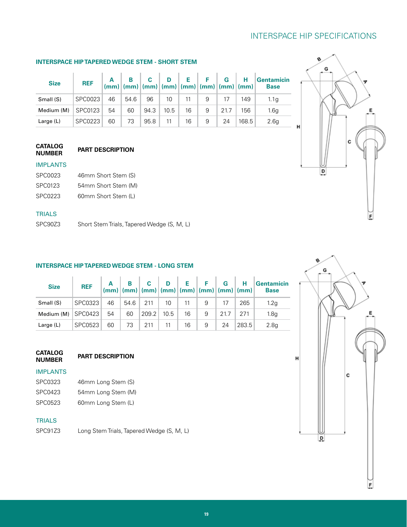# INTERSPACE HIP SPECIFICATIONS

#### **INTERSPACE HIP TAPERED WEDGE STEM - SHORT STEM**

| <b>Size</b> | <b>REF</b>     |    |      |      |                 |    | $A$ $B$ $C$ $D$ $E$ $F$ $G$ $H$<br>$(mm)$ $(mm)$ $(mm)$ $(mm)$ $(mm)$ $(mm)$ |      |       | Gentamicin<br><b>Base</b> |
|-------------|----------------|----|------|------|-----------------|----|------------------------------------------------------------------------------|------|-------|---------------------------|
| Small (S)   | SPC0023        | 46 | 54.6 | 96   | 10 <sup>°</sup> | 11 | 9                                                                            | 17   | 149   | 1.1 <sub>a</sub>          |
| Medium (M)  | SPC0123        | 54 | 60   | 94.3 | 10.5            | 16 | 9                                                                            | 21.7 | 156   | 1.6a                      |
| Large $(L)$ | <b>SPC0223</b> | 60 | 73   | 95.8 | 11              | 16 |                                                                              | 24   | 168.5 | 2.6q                      |

#### **CATALOG PART DESCRIPTION**

## IMPLANTS

| SPC0023 | 46mm Short Stem (S) |
|---------|---------------------|
| SPC0123 | 54mm Short Stem (M) |

SPC0223 60mm Short Stem (L)

### **TRIALS**

SPC90Z3 Short Stem Trials, Tapered Wedge (S, M, L)

#### **INTERSPACE HIP TAPERED WEDGE STEM - LONG STEM**

| <b>Size</b> | <b>REF</b> |    |    | $\begin{array}{ c c c c c c c c } \hline \text{A} & \text{B} & \text{C} & \text{D} & \text{E} & \text{F} & \text{G} & \text{H} \\ (mm) & (mm) & (mm) & (mm) & (mm) & (mm) & (mm) & (mm) \end{array}$ |      |         |     |      |       | Gentamicin<br><b>Base</b> |
|-------------|------------|----|----|------------------------------------------------------------------------------------------------------------------------------------------------------------------------------------------------------|------|---------|-----|------|-------|---------------------------|
| Small (S)   | SPC0323    | 46 |    | $54.6$ 211                                                                                                                                                                                           | 10   | $-11 -$ | - 9 | 17   | 265   | 1.2 <sub>q</sub>          |
| Medium (M)  | SPC0423    | 54 | 60 | 209.2                                                                                                                                                                                                | 10.5 | 16      | 9   | 21.7 | 271   | 1.8 <sub>q</sub>          |
| Large (L)   | SPC0523    | 60 | 73 | 211                                                                                                                                                                                                  | 11   | 16      | 9   | 24   | 283.5 | 2.8q                      |

# **CATALOG**

#### IMPLANTS

| SPC0323 | 46mm Long Stem (S) |
|---------|--------------------|
| SPC0423 | 54mm Long Stem (M) |
| SPC0523 | 60mm Long Stem (L) |

#### **TRIALS**

SPC91Z3 Long Stem Trials, Tapered Wedge (S, M, L)

**PART DESCRIPTION** 



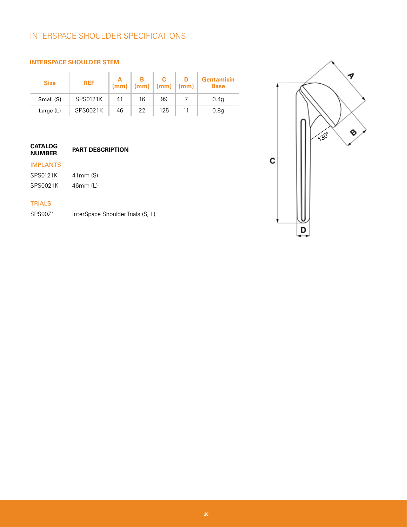# INTERSPACE SHOULDER SPECIFICATIONS

#### **INTERSPACE SHOULDER STEM**

| <b>Size</b> | <b>REF</b> |    | $(mm)$ $(mm)$ $(mm)$ $(mm)$ |     | <b>Gentamicin</b><br><b>Base</b> |
|-------------|------------|----|-----------------------------|-----|----------------------------------|
| Small (S)   | SPS0121K   | 41 | 16                          | 99  | 0.4 <sub>g</sub>                 |
| Large (L)   | SPS0021K   | 46 | 22                          | 125 | 0.8 <sub>g</sub>                 |

#### **CATALOG PART DESCRIPTION**

### IMPLANTS

| SPS0121K | 41mm(S)  |
|----------|----------|
| SPS0021K | 46mm (L) |

### TRIALS

SPS90Z1 InterSpace Shoulder Trials (S, L)

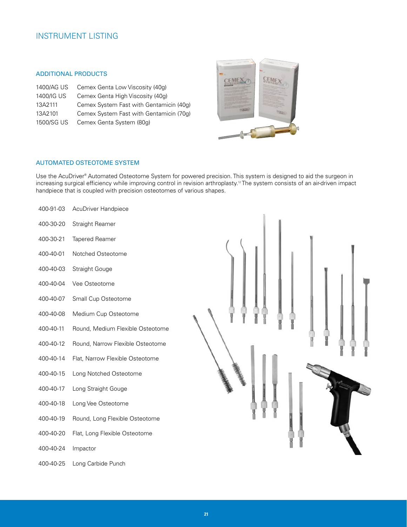# INSTRUMENT LISTING

#### ADDITIONAL PRODUCTS

| 1400/AG US | Cemex Genta Low Viscosity (40q)         |
|------------|-----------------------------------------|
| 1400/IG US | Cemex Genta High Viscosity (40g)        |
| 13A2111    | Cemex System Fast with Gentamicin (40q) |
| 13A2101    | Cemex System Fast with Gentamicin (70g) |
| 1500/SG US | Cemex Genta System (80q)                |



#### AUTOMATED OSTEOTOME SYSTEM

Use the AcuDriver® Automated Osteotome System for powered precision. This system is designed to aid the surgeon in increasing surgical efficiency while improving control in revision arthroplasty.<sup>12</sup> The system consists of an air-driven impact handpiece that is coupled with precision osteotomes of various shapes.

| 400-91-03 | AcuDriver Handpiece              |  |
|-----------|----------------------------------|--|
| 400-30-20 | Straight Reamer                  |  |
| 400-30-21 | Tapered Reamer                   |  |
| 400-40-01 | Notched Osteotome                |  |
| 400-40-03 | <b>Straight Gouge</b>            |  |
| 400-40-04 | Vee Osteotome                    |  |
| 400-40-07 | Small Cup Osteotome              |  |
| 400-40-08 | Medium Cup Osteotome             |  |
| 400-40-11 | Round, Medium Flexible Osteotome |  |
| 400-40-12 | Round, Narrow Flexible Osteotome |  |
| 400-40-14 | Flat, Narrow Flexible Osteotome  |  |
| 400-40-15 | Long Notched Osteotome           |  |
| 400-40-17 | Long Straight Gouge              |  |
| 400-40-18 | Long Vee Osteotome               |  |
| 400-40-19 | Round, Long Flexible Osteotome   |  |
| 400-40-20 | Flat, Long Flexible Osteotome    |  |
| 400-40-24 | Impactor                         |  |
| 400-40-25 | Long Carbide Punch               |  |